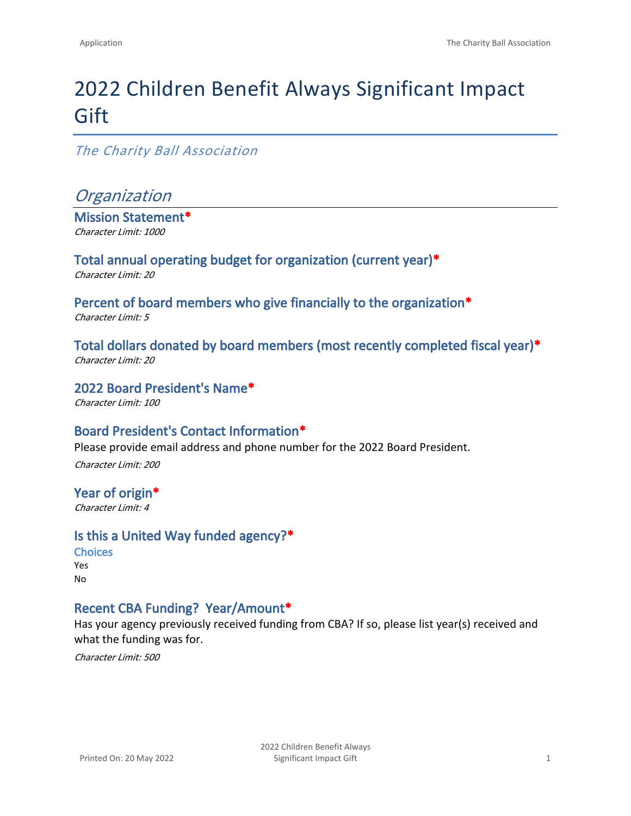# 2022 Children Benefit Always Significant Impact **Gift**

#### *The Charity Ball Association*

### *Organization*

**Mission Statement\*** *Character Limit: 1000*

**Total annual operating budget for organization (current year)\*** *Character Limit: 20*

**Percent of board members who give financially to the organization\*** *Character Limit: 5*

**Total dollars donated by board members (most recently completed fiscal year)\*** *Character Limit: 20*

**2022 Board President's Name\*** *Character Limit: 100*

#### **Board President's Contact Information\***

Please provide email address and phone number for the 2022 Board President.

*Character Limit: 200*

#### **Year of origin\*** *Character Limit: 4*

#### **Is this a United Way funded agency?\***

**Choices** Yes No

#### **Recent CBA Funding? Year/Amount\***

Has your agency previously received funding from CBA? If so, please list year(s) received and what the funding was for.

*Character Limit: 500*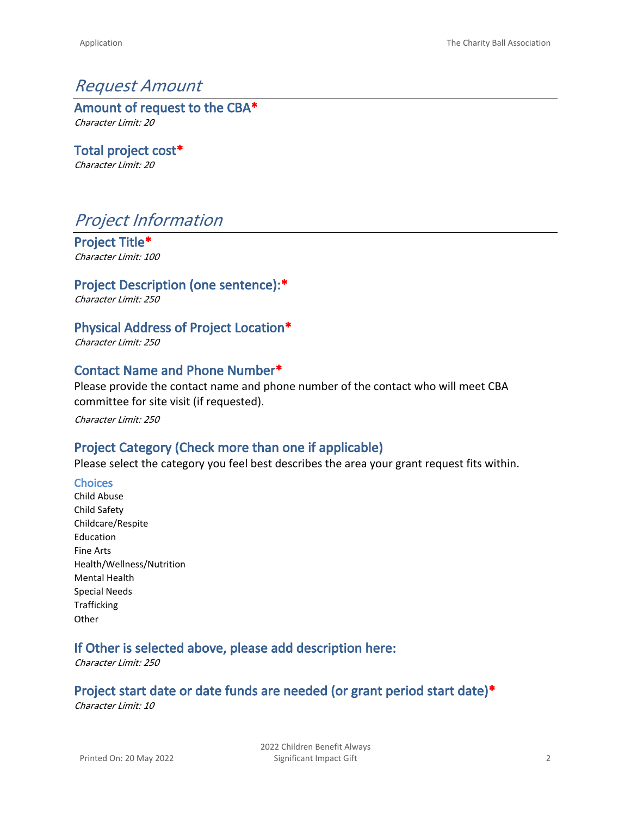### *Request Amount*

**Amount of request to the CBA\*** *Character Limit: 20*

**Total project cost\*** *Character Limit: 20*

# *Project Information*

**Project Title\*** *Character Limit: 100*

**Project Description (one sentence):\***

*Character Limit: 250*

#### **Physical Address of Project Location\***

*Character Limit: 250*

#### **Contact Name and Phone Number\***

Please provide the contact name and phone number of the contact who will meet CBA committee for site visit (if requested).

*Character Limit: 250*

### **Project Category (Check more than one if applicable)**

Please select the category you feel best describes the area your grant request fits within.

#### **Choices**

Child Abuse Child Safety Childcare/Respite Education Fine Arts Health/Wellness/Nutrition Mental Health Special Needs Trafficking **Other** 

#### **If Other is selected above, please add description here:**

*Character Limit: 250*

#### **Project start date or date funds are needed (or grant period start date)\***

*Character Limit: 10*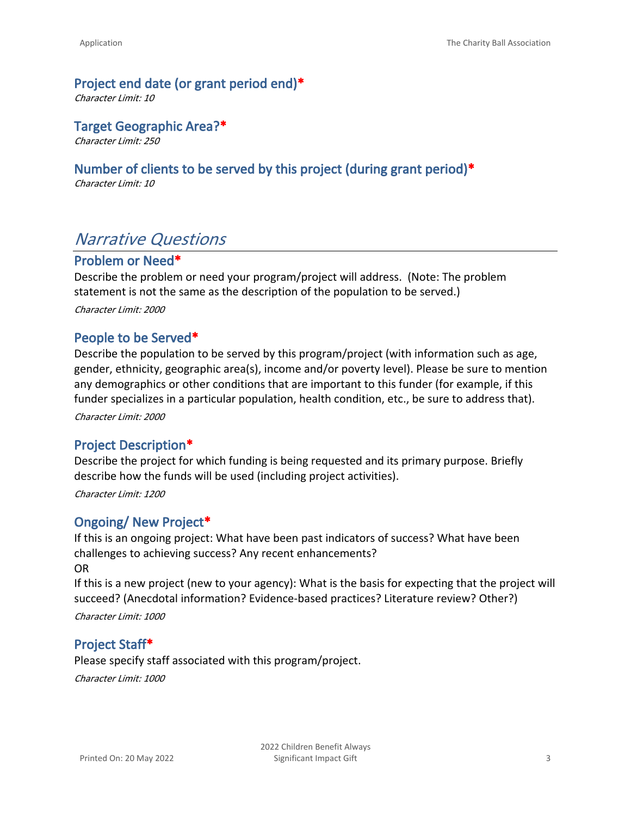#### **Project end date (or grant period end)\***

*Character Limit: 10*

**Target Geographic Area?\***

*Character Limit: 250*

#### **Number of clients to be served by this project (during grant period)\***

*Character Limit: 10*

## *Narrative Questions*

#### **Problem or Need\***

Describe the problem or need your program/project will address. (Note: The problem statement is not the same as the description of the population to be served.) *Character Limit: 2000*

#### **People to be Served\***

Describe the population to be served by this program/project (with information such as age, gender, ethnicity, geographic area(s), income and/or poverty level). Please be sure to mention any demographics or other conditions that are important to this funder (for example, if this funder specializes in a particular population, health condition, etc., be sure to address that). *Character Limit: 2000*

#### **Project Description\***

Describe the project for which funding is being requested and its primary purpose. Briefly describe how the funds will be used (including project activities).

*Character Limit: 1200*

### **Ongoing/ New Project\***

If this is an ongoing project: What have been past indicators of success? What have been challenges to achieving success? Any recent enhancements? OR

If this is a new project (new to your agency): What is the basis for expecting that the project will succeed? (Anecdotal information? Evidence-based practices? Literature review? Other?)

*Character Limit: 1000*

#### **Project Staff\***

Please specify staff associated with this program/project. *Character Limit: 1000*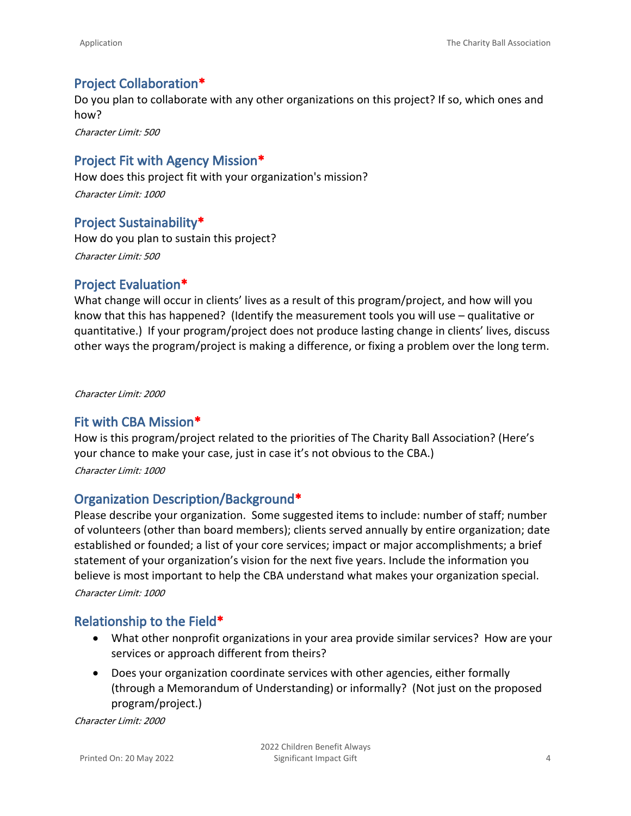#### **Project Collaboration\***

Do you plan to collaborate with any other organizations on this project? If so, which ones and how?

*Character Limit: 500*

#### **Project Fit with Agency Mission\***

How does this project fit with your organization's mission? *Character Limit: 1000*

#### **Project Sustainability\***

How do you plan to sustain this project? *Character Limit: 500*

#### **Project Evaluation\***

What change will occur in clients' lives as a result of this program/project, and how will you know that this has happened? (Identify the measurement tools you will use – qualitative or quantitative.) If your program/project does not produce lasting change in clients' lives, discuss other ways the program/project is making a difference, or fixing a problem over the long term.

*Character Limit: 2000*

#### **Fit with CBA Mission\***

How is this program/project related to the priorities of The Charity Ball Association? (Here's your chance to make your case, just in case it's not obvious to the CBA.) *Character Limit: 1000*

#### **Organization Description/Background\***

Please describe your organization. Some suggested items to include: number of staff; number of volunteers (other than board members); clients served annually by entire organization; date established or founded; a list of your core services; impact or major accomplishments; a brief statement of your organization's vision for the next five years. Include the information you believe is most important to help the CBA understand what makes your organization special. *Character Limit: 1000*

#### **Relationship to the Field\***

- What other nonprofit organizations in your area provide similar services? How are your services or approach different from theirs?
- Does your organization coordinate services with other agencies, either formally (through a Memorandum of Understanding) or informally? (Not just on the proposed program/project.)

*Character Limit: 2000*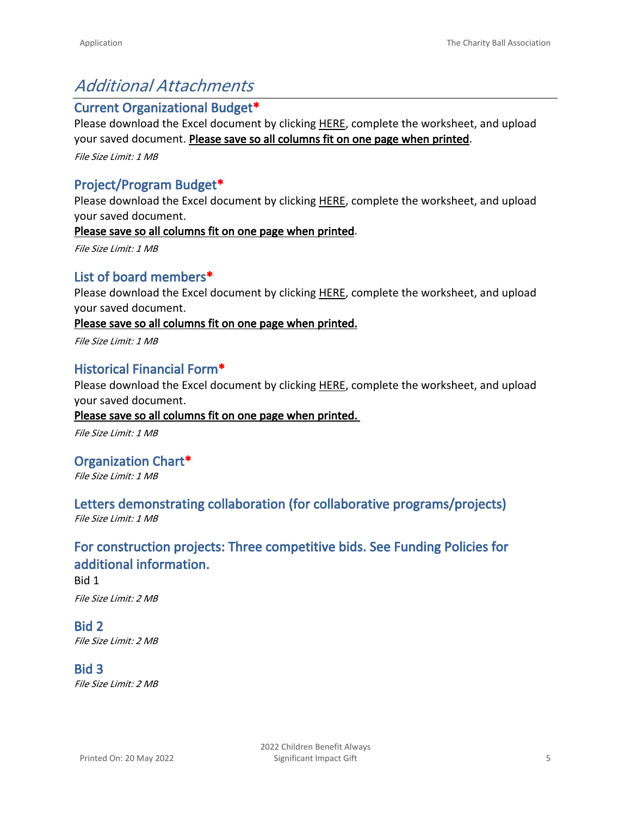# *Additional Attachments*

#### **Current Organizational Budget\***

Please download the Excel document by clicking [HERE,](https://app.box.com/s/h45xv1ody78r7fngurtfszl00jf4vei2) complete the worksheet, and upload your saved document. **Please save so all columns fit on one page when printed**.

*File Size Limit: 1 MB*

### **Project/Program Budget\***

Please download the Excel document by clicking [HERE](https://app.box.com/s/05i7elj2wn4hupsiqbkh1ht9z9erlnfb), complete the worksheet, and upload your saved document.

**Please save so all columns fit on one page when printed**.

*File Size Limit: 1 MB*

### **List of board members\***

Please download the Excel document by clicking [HERE](https://app.box.com/s/7kq6nchccy5juj3w2uhidv3icra3ztgi), complete the worksheet, and upload your saved document.

**Please save so all columns fit on one page when printed.**

*File Size Limit: 1 MB*

### **Historical Financial Form\***

Please download the Excel document by clicking [HERE,](https://app.box.com/s/rlmoyicc3v1bypkohhy608vkzo0i15ng) complete the worksheet, and upload your saved document.

#### **Please save so all columns fit on one page when printed.**

*File Size Limit: 1 MB*

#### **Organization Chart\***

*File Size Limit: 1 MB*

#### **Letters demonstrating collaboration (for collaborative programs/projects)** *File Size Limit: 1 MB*

### **For construction projects: Three competitive bids. See Funding Policies for additional information.**

Bid 1 *File Size Limit: 2 MB*

#### **Bid 2** *File Size Limit: 2 MB*

**Bid 3** *File Size Limit: 2 MB*